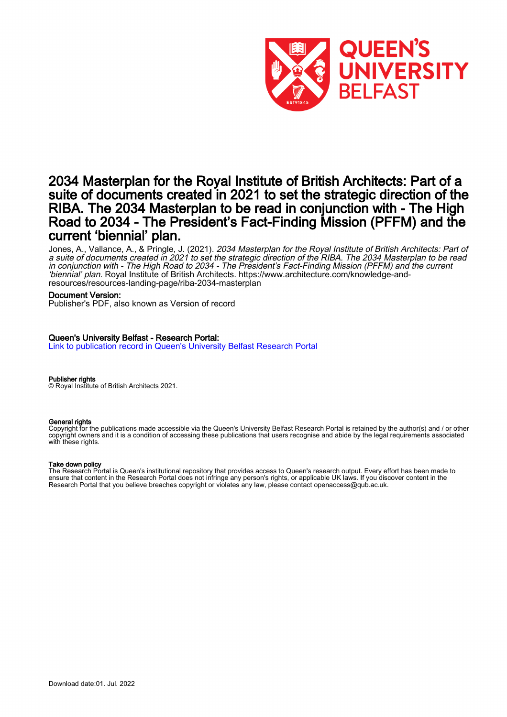

### 2034 Masterplan for the Royal Institute of British Architects: Part of a suite of documents created in 2021 to set the strategic direction of the RIBA. The 2034 Masterplan to be read in conjunction with - The High Road to 2034 - The President's Fact-Finding Mission (PFFM) and the current 'biennial' plan.

Jones, A., Vallance, A., & Pringle, J. (2021). *2034 Masterplan for the Royal Institute of British Architects: Part of* a suite of documents created in 2021 to set the strategic direction of the RIBA. The 2034 Masterplan to be read in conjunction with - The High Road to 2034 - The President's Fact-Finding Mission (PFFM) and the current 'biennial' plan. Royal Institute of British Architects. [https://www.architecture.com/knowledge-and](https://www.architecture.com/knowledge-and-resources/resources-landing-page/riba-2034-masterplan)[resources/resources-landing-page/riba-2034-masterplan](https://www.architecture.com/knowledge-and-resources/resources-landing-page/riba-2034-masterplan)

#### Document Version:

Publisher's PDF, also known as Version of record

### Queen's University Belfast - Research Portal:

[Link to publication record in Queen's University Belfast Research Portal](https://pure.qub.ac.uk/en/publications/31a275e4-ef43-43b7-ae97-da96f4767f6e)

#### Publisher rights

© Royal Institute of British Architects 2021.

### General rights

Copyright for the publications made accessible via the Queen's University Belfast Research Portal is retained by the author(s) and / or other copyright owners and it is a condition of accessing these publications that users recognise and abide by the legal requirements associated with these rights.

#### Take down policy

The Research Portal is Queen's institutional repository that provides access to Queen's research output. Every effort has been made to ensure that content in the Research Portal does not infringe any person's rights, or applicable UK laws. If you discover content in the Research Portal that you believe breaches copyright or violates any law, please contact openaccess@qub.ac.uk.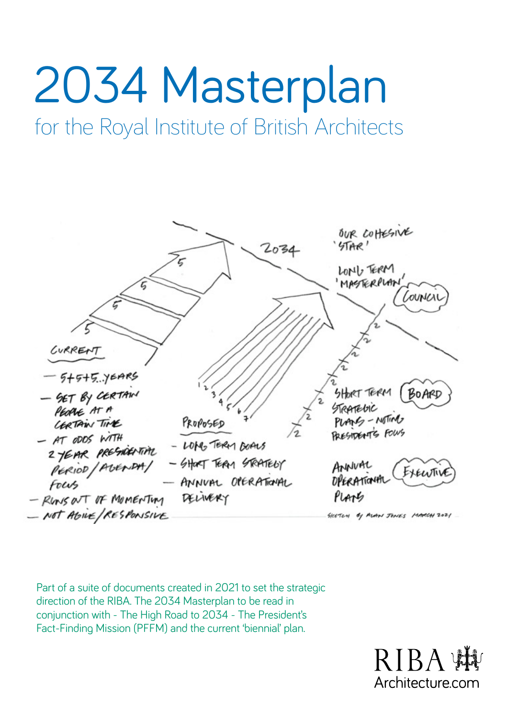# 2034 Masterplan

for the Royal Institute of British Architects



Part of a suite of documents created in 2021 to set the strategic direction of the RIBA. The 2034 Masterplan to be read in conjunction with - The High Road to 2034 - The President's Fact-Finding Mission (PFFM) and the current 'biennial' plan.

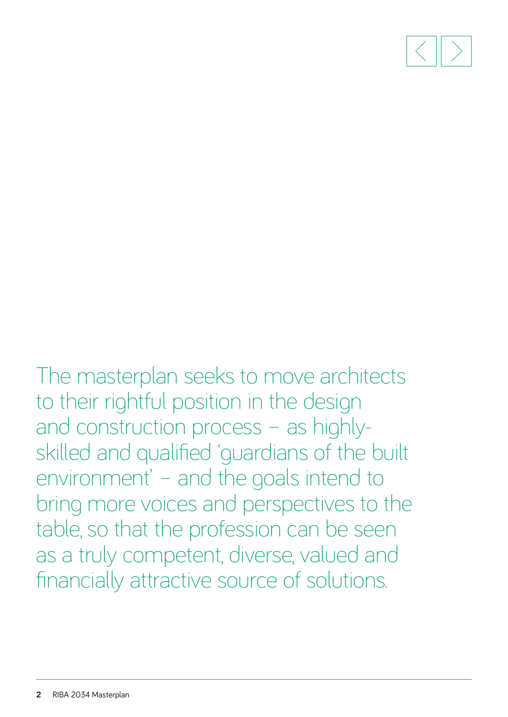

The masterplan seeks to move architects to their rightful position in the design and construction process – as highlyskilled and qualified 'guardians of the built environment' – and the goals intend to bring more voices and perspectives to the table, so that the profession can be seen as a truly competent, diverse, valued and financially attractive source of solutions.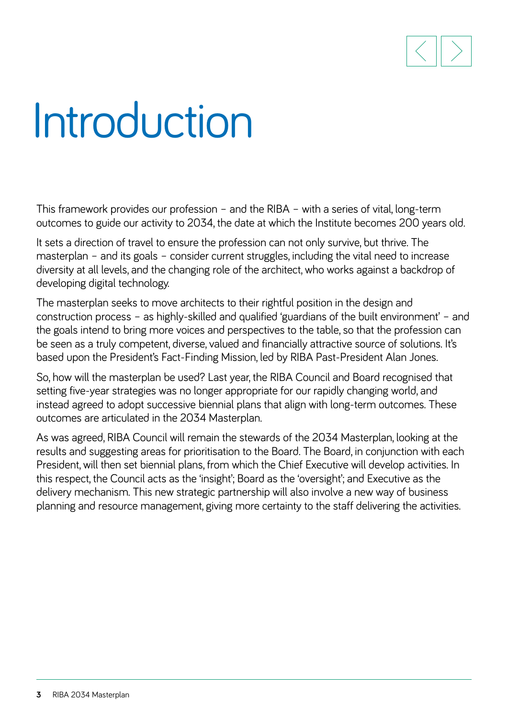

### Introduction

This framework provides our profession – and the RIBA – with a series of vital, long-term outcomes to guide our activity to 2034, the date at which the Institute becomes 200 years old.

It sets a direction of travel to ensure the profession can not only survive, but thrive. The masterplan – and its goals – consider current struggles, including the vital need to increase diversity at all levels, and the changing role of the architect, who works against a backdrop of developing digital technology.

The masterplan seeks to move architects to their rightful position in the design and construction process – as highly-skilled and qualified 'guardians of the built environment' – and the goals intend to bring more voices and perspectives to the table, so that the profession can be seen as a truly competent, diverse, valued and financially attractive source of solutions. It's based upon the President's Fact-Finding Mission, led by RIBA Past-President Alan Jones.

So, how will the masterplan be used? Last year, the RIBA Council and Board recognised that setting five-year strategies was no longer appropriate for our rapidly changing world, and instead agreed to adopt successive biennial plans that align with long-term outcomes. These outcomes are articulated in the 2034 Masterplan.

As was agreed, RIBA Council will remain the stewards of the 2034 Masterplan, looking at the results and suggesting areas for prioritisation to the Board. The Board, in conjunction with each President, will then set biennial plans, from which the Chief Executive will develop activities. In this respect, the Council acts as the 'insight'; Board as the 'oversight'; and Executive as the delivery mechanism. This new strategic partnership will also involve a new way of business planning and resource management, giving more certainty to the staff delivering the activities.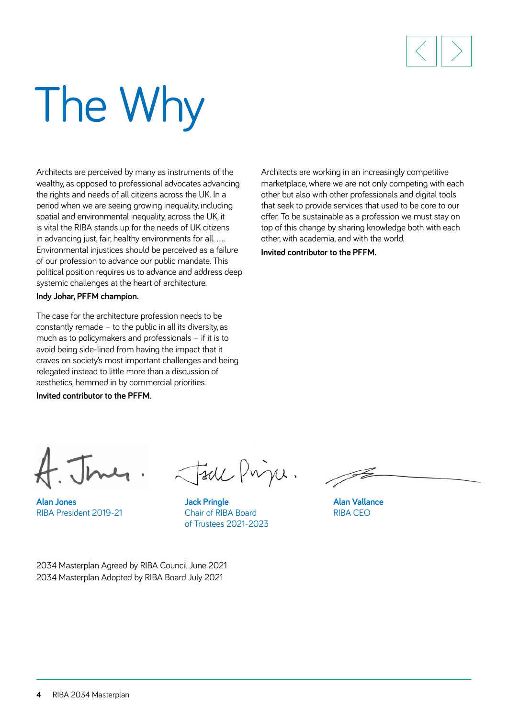

# The Why

Architects are perceived by many as instruments of the wealthy, as opposed to professional advocates advancing the rights and needs of all citizens across the UK. In a period when we are seeing growing inequality, including spatial and environmental inequality, across the UK, it is vital the RIBA stands up for the needs of UK citizens in advancing just, fair, healthy environments for all. ... Environmental injustices should be perceived as a failure of our profession to advance our public mandate. This political position requires us to advance and address deep systemic challenges at the heart of architecture.

**Indy Johar, PFFM champion.** 

The case for the architecture profession needs to be constantly remade – to the public in all its diversity, as much as to policymakers and professionals – if it is to avoid being side-lined from having the impact that it craves on society's most important challenges and being relegated instead to little more than a discussion of aesthetics, hemmed in by commercial priorities.

**Invited contributor to the PFFM.** 

Architects are working in an increasingly competitive marketplace, where we are not only competing with each other but also with other professionals and digital tools that seek to provide services that used to be core to our offer. To be sustainable as a profession we must stay on top of this change by sharing knowledge both with each other, with academia, and with the world.

**Invited contributor to the PFFM.** 

**Alan Jones**  RIBA President 2019-21

Jack Prince.

**Jack Pringle**  Chair of RIBA Board of Trustees 2021-2023

**Alan Vallance**  RIBA CEO

2034 Masterplan Agreed by RIBA Council June 2021 2034 Masterplan Adopted by RIBA Board July 2021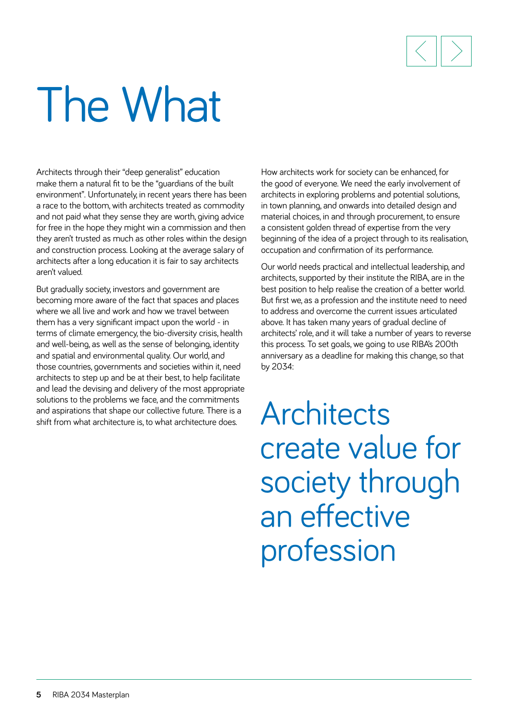

## The What

Architects through their "deep generalist" education make them a natural fit to be the "guardians of the built environment". Unfortunately, in recent years there has been a race to the bottom, with architects treated as commodity and not paid what they sense they are worth, giving advice for free in the hope they might win a commission and then they aren't trusted as much as other roles within the design and construction process. Looking at the average salary of architects after a long education it is fair to say architects aren't valued.

But gradually society, investors and government are becoming more aware of the fact that spaces and places where we all live and work and how we travel between them has a very significant impact upon the world - in terms of climate emergency, the bio-diversity crisis, health and well-being, as well as the sense of belonging, identity and spatial and environmental quality. Our world, and those countries, governments and societies within it, need architects to step up and be at their best, to help facilitate and lead the devising and delivery of the most appropriate solutions to the problems we face, and the commitments and aspirations that shape our collective future. There is a shift from what architecture is, to what architecture does.

How architects work for society can be enhanced, for the good of everyone. We need the early involvement of architects in exploring problems and potential solutions, in town planning, and onwards into detailed design and material choices, in and through procurement, to ensure a consistent golden thread of expertise from the very beginning of the idea of a project through to its realisation, occupation and confirmation of its performance.

Our world needs practical and intellectual leadership, and architects, supported by their institute the RIBA, are in the best position to help realise the creation of a better world. But first we, as a profession and the institute need to need to address and overcome the current issues articulated above. It has taken many years of gradual decline of architects' role, and it will take a number of years to reverse this process. To set goals, we going to use RIBA's 200th anniversary as a deadline for making this change, so that by 2034:

**Architects** create value for society through an effective profession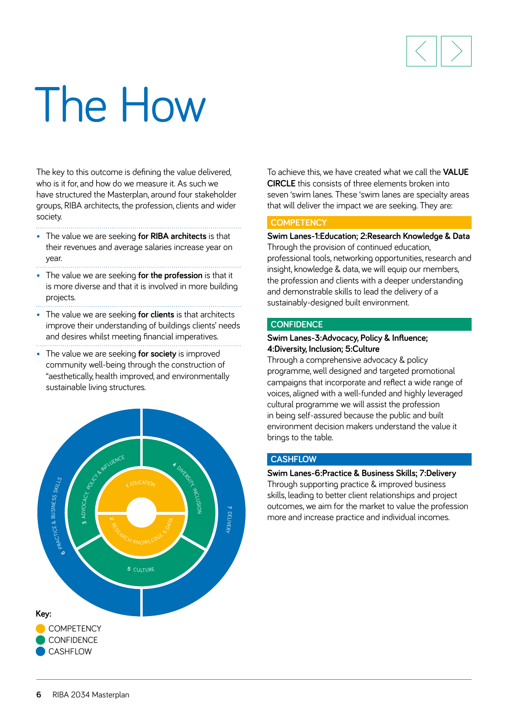

## The How

The key to this outcome is defining the value delivered, who is it for, and how do we measure it. As such we have structured the Masterplan, around four stakeholder groups, RIBA architects, the profession, clients and wider society.

- The value we are seeking **for RIBA architects** is that their revenues and average salaries increase year on year.
- The value we are seeking **for the profession** is that it is more diverse and that it is involved in more building projects.
- The value we are seeking **for clients** is that architects improve their understanding of buildings clients' needs and desires whilst meeting financial imperatives.
- The value we are seeking **for society** is improved community well-being through the construction of "aesthetically, health improved, and environmentally sustainable living structures.



To achieve this, we have created what we call the **VALUE CIRCLE** this consists of three elements broken into seven 'swim lanes. These 'swim lanes are specialty areas that will deliver the impact we are seeking. They are:

### **COMPETENCY**

**Swim Lanes-1:Education; 2:Research Knowledge & Data** Through the provision of continued education, professional tools, networking opportunities, research and insight, knowledge & data, we will equip our members, the profession and clients with a deeper understanding and demonstrable skills to lead the delivery of a sustainably-designed built environment.

### **CONFIDENCE**

### **Swim Lanes-3:Advocacy, Policy & Influence; 4:Diversity, Inclusion; 5:Culture**

Through a comprehensive advocacy & policy programme, well designed and targeted promotional campaigns that incorporate and reflect a wide range of voices, aligned with a well-funded and highly leveraged cultural programme we will assist the profession in being self-assured because the public and built environment decision makers understand the value it brings to the table.

### **CASHFLOW**

### **Swim Lanes-6:Practice & Business Skills; 7:Delivery**

Through supporting practice & improved business skills, leading to better client relationships and project outcomes, we aim for the market to value the profession more and increase practice and individual incomes.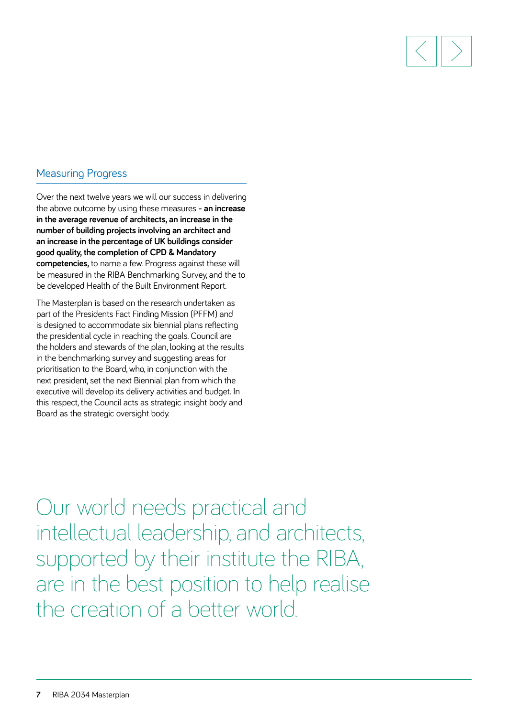

### Measuring Progress

Over the next twelve years we will our success in delivering the above outcome by using these measures **- an increase in the average revenue of architects, an increase in the number of building projects involving an architect and an increase in the percentage of UK buildings consider good quality, the completion of CPD & Mandatory competencies,** to name a few. Progress against these will be measured in the RIBA Benchmarking Survey, and the to be developed Health of the Built Environment Report.

The Masterplan is based on the research undertaken as part of the Presidents Fact Finding Mission (PFFM) and is designed to accommodate six biennial plans reflecting the presidential cycle in reaching the goals. Council are the holders and stewards of the plan, looking at the results in the benchmarking survey and suggesting areas for prioritisation to the Board, who, in conjunction with the next president, set the next Biennial plan from which the executive will develop its delivery activities and budget. In this respect, the Council acts as strategic insight body and Board as the strategic oversight body.

Our world needs practical and intellectual leadership, and architects, supported by their institute the RIBA, are in the best position to help realise the creation of a better world.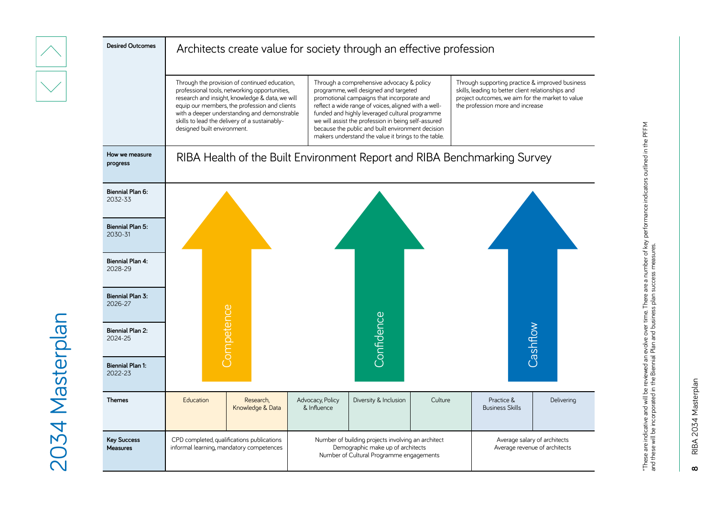| <b>Desired Outcomes</b>               | Architects create value for society through an effective profession                    |                                                                                                                                                                                                                                                    |                                                                                                                                                                                                                                                                                                                                                                                                               |                       |         |                                                                                                                                                                                               |            |  |  |  |
|---------------------------------------|----------------------------------------------------------------------------------------|----------------------------------------------------------------------------------------------------------------------------------------------------------------------------------------------------------------------------------------------------|---------------------------------------------------------------------------------------------------------------------------------------------------------------------------------------------------------------------------------------------------------------------------------------------------------------------------------------------------------------------------------------------------------------|-----------------------|---------|-----------------------------------------------------------------------------------------------------------------------------------------------------------------------------------------------|------------|--|--|--|
|                                       | skills to lead the delivery of a sustainably-<br>designed built environment.           | Through the provision of continued education,<br>professional tools, networking opportunities,<br>research and insight, knowledge & data, we will<br>equip our members, the profession and clients<br>with a deeper understanding and demonstrable | Through a comprehensive advocacy & policy<br>programme, well designed and targeted<br>promotional campaigns that incorporate and<br>reflect a wide range of voices, aligned with a well-<br>funded and highly leveraged cultural programme<br>we will assist the profession in being self-assured<br>because the public and built environment decision<br>makers understand the value it brings to the table. |                       |         | Through supporting practice & improved business<br>skills, leading to better client relationships and<br>project outcomes, we aim for the market to value<br>the profession more and increase |            |  |  |  |
| How we measure<br>progress            | RIBA Health of the Built Environment Report and RIBA Benchmarking Survey               |                                                                                                                                                                                                                                                    |                                                                                                                                                                                                                                                                                                                                                                                                               |                       |         |                                                                                                                                                                                               |            |  |  |  |
| Biennial Plan 6:<br>2032-33           |                                                                                        |                                                                                                                                                                                                                                                    |                                                                                                                                                                                                                                                                                                                                                                                                               |                       |         |                                                                                                                                                                                               |            |  |  |  |
| <b>Biennial Plan 5:</b><br>2030-31    |                                                                                        |                                                                                                                                                                                                                                                    |                                                                                                                                                                                                                                                                                                                                                                                                               |                       |         |                                                                                                                                                                                               |            |  |  |  |
| <b>Biennial Plan 4:</b><br>2028-29    |                                                                                        |                                                                                                                                                                                                                                                    |                                                                                                                                                                                                                                                                                                                                                                                                               |                       |         |                                                                                                                                                                                               |            |  |  |  |
| <b>Biennial Plan 3:</b><br>2026-27    |                                                                                        |                                                                                                                                                                                                                                                    |                                                                                                                                                                                                                                                                                                                                                                                                               |                       |         |                                                                                                                                                                                               |            |  |  |  |
| <b>Biennial Plan 2:</b><br>2024-25    | Competence                                                                             |                                                                                                                                                                                                                                                    |                                                                                                                                                                                                                                                                                                                                                                                                               | Confidence            |         | Cashflow                                                                                                                                                                                      |            |  |  |  |
| <b>Biennial Plan 1:</b><br>2022-23    |                                                                                        |                                                                                                                                                                                                                                                    |                                                                                                                                                                                                                                                                                                                                                                                                               |                       |         |                                                                                                                                                                                               |            |  |  |  |
| <b>Themes</b>                         | Education                                                                              | Research,<br>Knowledge & Data                                                                                                                                                                                                                      | Advocacy, Policy<br>& Influence                                                                                                                                                                                                                                                                                                                                                                               | Diversity & Inclusion | Culture | Practice &<br><b>Business Skills</b>                                                                                                                                                          | Delivering |  |  |  |
| <b>Key Success</b><br><b>Measures</b> | CPD completed, qualifications publications<br>informal learning, mandatory competences |                                                                                                                                                                                                                                                    | Number of building projects involving an architect<br>Demographic make up of architects<br>Number of Cultural Programme engagements                                                                                                                                                                                                                                                                           |                       |         | Average salary of architects<br>Average revenue of architects                                                                                                                                 |            |  |  |  |

RIBA 2034 Masterplan **8** RIBA 2034 Masterplan  $\infty$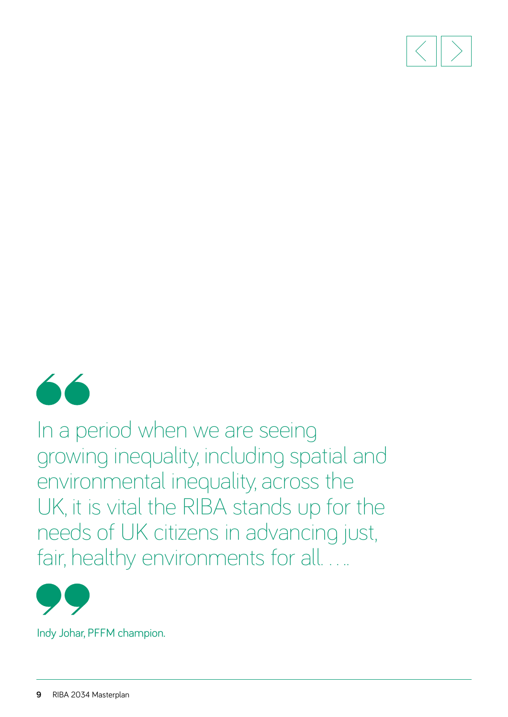



In a period when we are seeing growing inequality, including spatial and environmental inequality, across the UK, it is vital the RIBA stands up for the needs of UK citizens in advancing just, fair, healthy environments for all....



Indy Johar, PFFM champion.